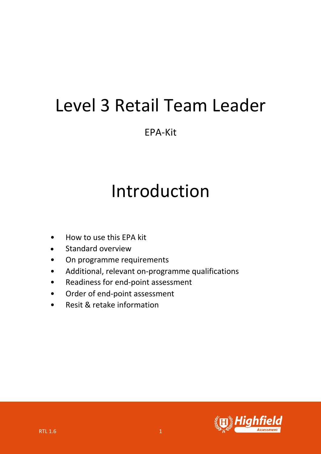## Level 3 Retail Team Leader

EPA-Kit

# Introduction

- How to use this EPA kit
- Standard overview
- On programme requirements
- Additional, relevant on-programme qualifications
- Readiness for end-point assessment
- Order of end-point assessment
- Resit & retake information

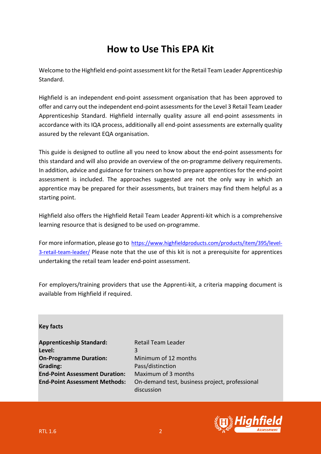## **How to Use This EPA Kit**

Welcome to the Highfield end-point assessment kit for the Retail Team Leader Apprenticeship Standard.

Highfield is an independent end-point assessment organisation that has been approved to offer and carry out the independent end-point assessments for the Level 3 Retail Team Leader Apprenticeship Standard. Highfield internally quality assure all end-point assessments in accordance with its IQA process, additionally all end-point assessments are externally quality assured by the relevant EQA organisation.

This guide is designed to outline all you need to know about the end-point assessments for this standard and will also provide an overview of the on-programme delivery requirements. In addition, advice and guidance for trainers on how to prepare apprentices for the end-point assessment is included. The approaches suggested are not the only way in which an apprentice may be prepared for their assessments, but trainers may find them helpful as a starting point.

Highfield also offers the Highfield Retail Team Leader Apprenti-kit which is a comprehensive learning resource that is designed to be used on-programme.

For more information, please go to https://www.highfieldproducts.com/products/item/395/level-3-retail-team-leader/ Please note that the use of this kit is not a prerequisite for apprentices undertaking the retail team leader end-point assessment.

For employers/training providers that use the Apprenti-kit, a criteria mapping document is available from Highfield if required.

**Key facts**

Apprenticeship Standard: Retail Team Leader **Level:** 3 **On-Programme Duration:** Minimum of 12 months **Grading:** Pass/distinction **End-Point Assessment Duration:** Maximum of 3 months

**End-Point Assessment Methods:** On-demand test, business project, professional discussion

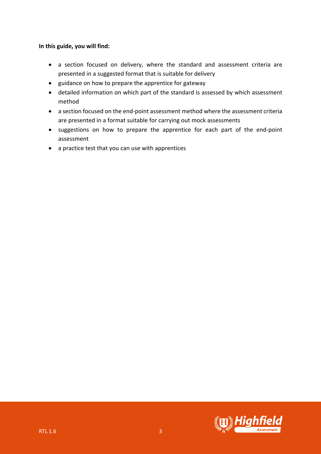#### **In this guide, you will find:**

- a section focused on delivery, where the standard and assessment criteria are presented in a suggested format that is suitable for delivery
- guidance on how to prepare the apprentice for gateway
- detailed information on which part of the standard is assessed by which assessment method
- a section focused on the end-point assessment method where the assessment criteria are presented in a format suitable for carrying out mock assessments
- suggestions on how to prepare the apprentice for each part of the end-point assessment
- a practice test that you can use with apprentices

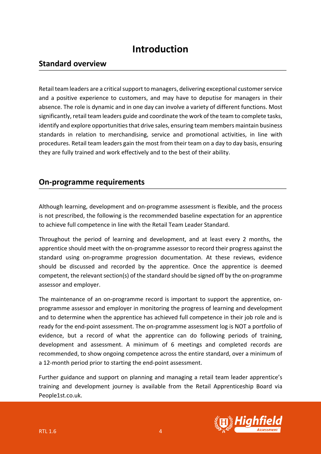### **Introduction**

#### **Standard overview**

Retail team leaders are a critical support to managers, delivering exceptional customer service and a positive experience to customers, and may have to deputise for managers in their absence. The role is dynamic and in one day can involve a variety of different functions. Most significantly, retail team leaders guide and coordinate the work of the team to complete tasks, identify and explore opportunities that drive sales, ensuring team members maintain business standards in relation to merchandising, service and promotional activities, in line with procedures. Retail team leaders gain the most from their team on a day to day basis, ensuring they are fully trained and work effectively and to the best of their ability.

#### **On-programme requirements**

Although learning, development and on-programme assessment is flexible, and the process is not prescribed, the following is the recommended baseline expectation for an apprentice to achieve full competence in line with the Retail Team Leader Standard.

Throughout the period of learning and development, and at least every 2 months, the apprentice should meet with the on-programme assessor to record their progress against the standard using on-programme progression documentation. At these reviews, evidence should be discussed and recorded by the apprentice. Once the apprentice is deemed competent, the relevant section(s) of the standard should be signed off by the on-programme assessor and employer.

The maintenance of an on-programme record is important to support the apprentice, onprogramme assessor and employer in monitoring the progress of learning and development and to determine when the apprentice has achieved full competence in their job role and is ready for the end-point assessment. The on-programme assessment log is NOT a portfolio of evidence, but a record of what the apprentice can do following periods of training, development and assessment. A minimum of 6 meetings and completed records are recommended, to show ongoing competence across the entire standard, over a minimum of a 12-month period prior to starting the end-point assessment.

Further guidance and support on planning and managing a retail team leader apprentice's training and development journey is available from the Retail Apprenticeship Board via People1st.co.uk.

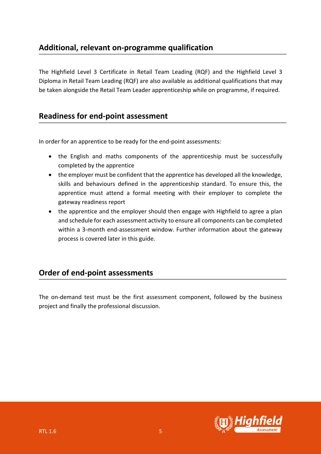#### **Additional, relevant on-programme qualification**

The Highfield Level 3 Certificate in Retail Team Leading (RQF) and the Highfield Level 3 Diploma in Retail Team Leading (RQF) are also available as additional qualifications that may be taken alongside the Retail Team Leader apprenticeship while on programme, if required.

#### **Readiness for end-point assessment**

In order for an apprentice to be ready for the end-point assessments:

- the English and maths components of the apprenticeship must be successfully completed by the apprentice
- the employer must be confident that the apprentice has developed all the knowledge, skills and behaviours defined in the apprenticeship standard. To ensure this, the apprentice must attend a formal meeting with their employer to complete the gateway readiness report
- the apprentice and the employer should then engage with Highfield to agree a plan and schedule for each assessment activity to ensure all components can be completed within a 3-month end-assessment window. Further information about the gateway process is covered later in this guide.

### **Order of end-point assessments**

The on-demand test must be the first assessment component, followed by the business project and finally the professional discussion.